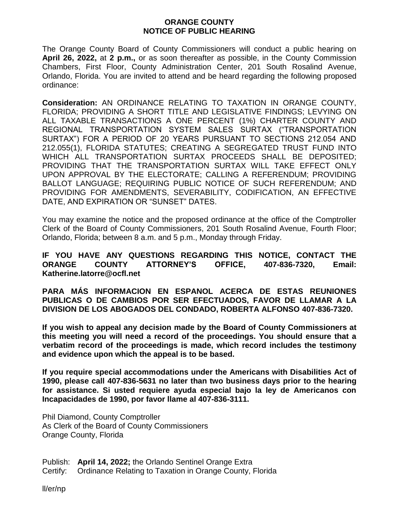## **ORANGE COUNTY NOTICE OF PUBLIC HEARING**

The Orange County Board of County Commissioners will conduct a public hearing on **April 26, 2022,** at **2 p.m.,** or as soon thereafter as possible, in the County Commission Chambers, First Floor, County Administration Center, 201 South Rosalind Avenue, Orlando, Florida. You are invited to attend and be heard regarding the following proposed ordinance:

**Consideration:** AN ORDINANCE RELATING TO TAXATION IN ORANGE COUNTY, FLORIDA; PROVIDING A SHORT TITLE AND LEGISLATIVE FINDINGS; LEVYING ON ALL TAXABLE TRANSACTIONS A ONE PERCENT (1%) CHARTER COUNTY AND REGIONAL TRANSPORTATION SYSTEM SALES SURTAX ("TRANSPORTATION SURTAX") FOR A PERIOD OF 20 YEARS PURSUANT TO SECTIONS 212.054 AND 212.055(1), FLORIDA STATUTES; CREATING A SEGREGATED TRUST FUND INTO WHICH ALL TRANSPORTATION SURTAX PROCEEDS SHALL BE DEPOSITED; PROVIDING THAT THE TRANSPORTATION SURTAX WILL TAKE EFFECT ONLY UPON APPROVAL BY THE ELECTORATE; CALLING A REFERENDUM; PROVIDING BALLOT LANGUAGE; REQUIRING PUBLIC NOTICE OF SUCH REFERENDUM; AND PROVIDING FOR AMENDMENTS, SEVERABILITY, CODIFICATION, AN EFFECTIVE DATE, AND EXPIRATION OR "SUNSET" DATES.

You may examine the notice and the proposed ordinance at the office of the Comptroller Clerk of the Board of County Commissioners, 201 South Rosalind Avenue, Fourth Floor; Orlando, Florida; between 8 a.m. and 5 p.m., Monday through Friday.

**IF YOU HAVE ANY QUESTIONS REGARDING THIS NOTICE, CONTACT THE ORANGE COUNTY ATTORNEY'S OFFICE, 407-836-7320, Email: Katherine.latorre@ocfl.net**

**PARA MÁS INFORMACION EN ESPANOL ACERCA DE ESTAS REUNIONES PUBLICAS O DE CAMBIOS POR SER EFECTUADOS, FAVOR DE LLAMAR A LA DIVISION DE LOS ABOGADOS DEL CONDADO, ROBERTA ALFONSO 407-836-7320.**

**If you wish to appeal any decision made by the Board of County Commissioners at this meeting you will need a record of the proceedings. You should ensure that a verbatim record of the proceedings is made, which record includes the testimony and evidence upon which the appeal is to be based.**

**If you require special accommodations under the Americans with Disabilities Act of 1990, please call 407-836-5631 no later than two business days prior to the hearing for assistance. Si usted requiere ayuda especial bajo la ley de Americanos con Incapacidades de 1990, por favor llame al 407-836-3111.**

Phil Diamond, County Comptroller As Clerk of the Board of County Commissioners Orange County, Florida

Publish: **April 14, 2022;** the Orlando Sentinel Orange Extra Certify: Ordinance Relating to Taxation in Orange County, Florida

ll/er/np